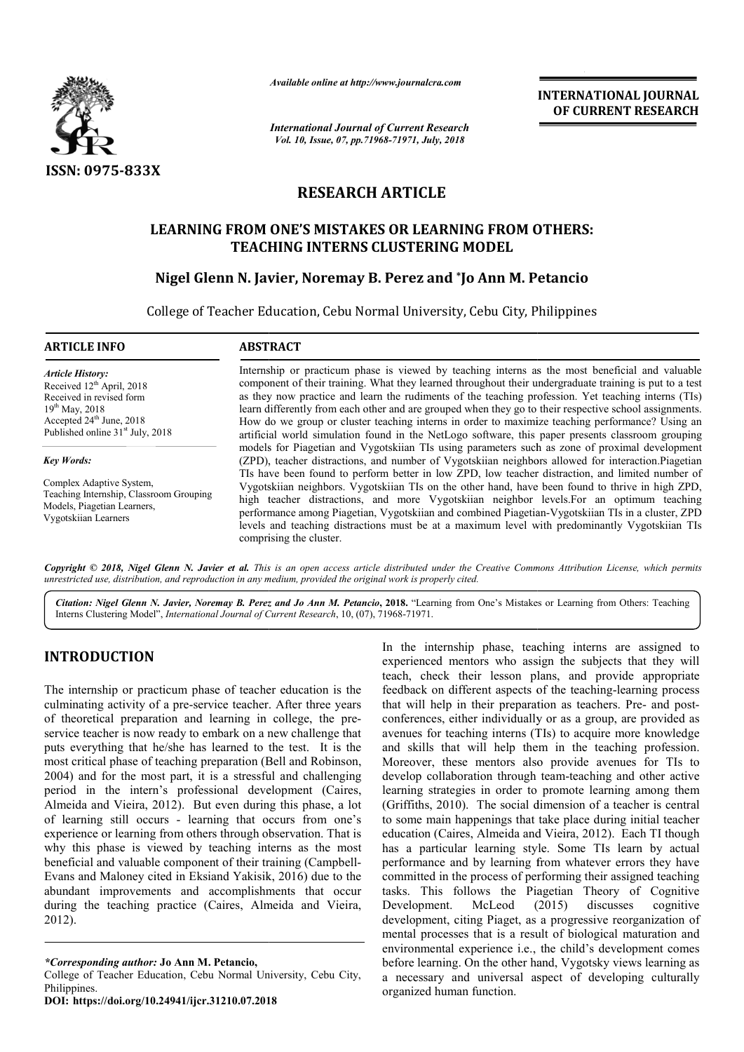

*Available online at http://www.journalcra.com*

*International Journal of Current Research Vol. 10, Issue, 07, pp.71968-71971, July, 2018*

**INTERNATIONAL JOURNAL OF CURRENT RESEARCH**

## **RESEARCH ARTICLE**

### **LEARNING FROM ONE'S MISTAKES OR LEARNING FROM OTHERS: TEACHING INTERNS CLUSTERING MODEL**

## **Nigel Glenn N. Javier, Noremay B. Perez and \*Jo Ann M. Petancio Jo Ann**

College of Teacher Education, Cebu Normal University, Cebu City, Philippines Education, Cebu Normal

# **ARTICLE INFO ABSTRACT** Internship or practicum phase is viewed by teaching interns as the most beneficial and valuable *Article History:*

Received 12<sup>th</sup> April, 2018 Received in revised form  $19^{th}$  May, 2018 Accepted  $24<sup>th</sup>$  June,  $2018$ Published online  $31<sup>st</sup>$  July, 2018

*Key Words:*

Complex Adaptive System, Teaching Internship, Classroom Grouping Models, Piagetian Learners, Vygotskiian Learners

component of their training. What they learned throughout their undergraduate training is put to a test as they now practice and learn the rudiments of the teaching profession. Yet teaching interns (TIs) Internship or practicum phase is viewed by teaching interns as the most beneficial and valuable component of their training. What they learned throughout their undergraduate training is put to a test as they now practice a How do we group or cluster teaching interns in order to maximize teaching performance? Using an artificial world simulation found in the NetLogo software, this paper presents classroom grouping models for Piagetian and Vygotskiian TIs using parameters such as zone of proximal development (ZPD), teacher distractions, and number of Vygotskiian neighbors allowed for interaction.Piagetian TIs have been found to perform better in low ZPD, low teacher distraction, and limited number of Vygotskiian neighbors. Vygotskiian TIs on the other hand, have been found to thrive in high ZPD, high teacher distractions, and more Vygotskiian neighbor levels.For an optimum teaching performance among Piagetian, Vygotskiian and combined Piagetian-Vygotskiian TIs in a cluster, ZPD levels and teaching distractions must be at a maximum level with predominantly Vygotskiian TIs comprising the cluster. artificial world simulation found in the NetLogo software, this paper presents classroom grouping<br>models for Piagetian and Vygotskiian TIs using parameters such as zone of proximal development<br>(ZPD), teacher distractions,

Copyright © 2018, Nigel Glenn N. Javier et al. This is an open access article distributed under the Creative Commons Attribution License, which permits *unrestricted use, distribution, and reproduction in any medium, provided the original work is properly cited.*

Citation: Nigel Glenn N. Javier, Noremay B. Perez and Jo Ann M. Petancio, 2018. "Learning from One's Mistakes or Learning from Others: Teaching Interns Clustering Model", *International Journal of Current Research* , 10, (07), 71968-71971.

#### **INTRODUCTION**

The internship or practicum phase of teacher education is the culminating activity of a pre-service teacher. After three years culminating activity of a pre-service teacher. After three years<br>of theoretical preparation and learning in college, the preservice teacher is now ready to embark on a new challenge that puts everything that he/she has learned to the test. It is the most critical phase of teaching preparation (Bell and Robinson, 2004) and for the most part, it is a stressful and challenging period in the intern's professional development (Caires, Almeida and Vieira, 2012). But even during this phase, a lot of learning still occurs - learning that occurs from one's experience or learning from others through observation. That is why this phase is viewed by teaching interns as the most beneficial and valuable component of their training (Campbell Evans and Maloney cited in Eksiand Yakisik, 2016) due to the abundant improvements and accomplishments that occur during the teaching practice (Caires, Almeida and Vieira, 2012). verything that he/she has learned to the test. It is the ritical phase of teaching preparation (Bell and Robinson, and for the most part, it is a stressful and challenging in the intern's professional development (Caires,

*\*Corresponding author:* **Jo Ann M. Petancio,**

College of Teacher Education, Cebu Normal University, Cebu City, Philippines.

**DOI: https://doi.org/10.24941/ijcr.31210.07.2018**

In the internship phase, teaching interns are assigned to<br>
experienced mentros who assign the subjects that they will<br>
teacher education is the feedback on different aspects of the teaching-learning process<br>
nad provide ap experienced mentors who assign the subjects that they will In the internship phase, teaching interns are assigned to experienced mentors who assign the subjects that they will teach, check their lesson plans, and provide appropriate feedback on different aspects of the teaching-learning process that will help in their preparation as teachers. Pre- and postconferences, either individually or as a group, are provided as conferences, either individually or as a group, are provided as avenues for teaching interns (TIs) to acquire more knowledge and skills that will help them in the teaching profession. Moreover, these mentors also provide avenues for TIs to and skills that will help them in the teaching profession.<br>Moreover, these mentors also provide avenues for TIs to<br>develop collaboration through team-teaching and other active learning strategies in order to promote learning among them (Griffiths, 2010). The social dimension of a teacher is central to some main happenings that take place during initial teacher education (Caires, Almeida and Vieira, 2012). Each TI though has a particular learning style. Some TIs learn by actual performance and by learning from whatever errors they have committed in the process of performing their assigned teaching tasks. This follows the Piagetian Theory of Cognitive Development. McLeod (2015) discusses cognitive development, citing Piaget, as a progressive reorganization of mental processes that is a result of biological maturation and environmental experience i.e., the child's development comes before learning. On the other hand, Vygotsky views learning as a necessary and universal aspect of developing culturally organized human function. riffiths, 2010). The social dimension of a teacher is central some main happenings that take place during initial teacher ucation (Caires, Almeida and Vieira, 2012). Each TI though particular learning style. Some TIs learn by actual<br>nance and by learning from whatever errors they have<br>tted in the process of performing their assigned teaching<br>This follows the Piagetian Theory of Cognitive<br>pment. McLeo **EXERCA THONAL FOURNAL COURNAL OF CURRENT RESEARCH OF CURRENT RESEARCH CONDICITENT (SOFT AND THE SOFT AND THE SOFT AND THE SOFT AND THE CONDICITED INTO the moreover analysis and the moreover analysis and the moreoverside t**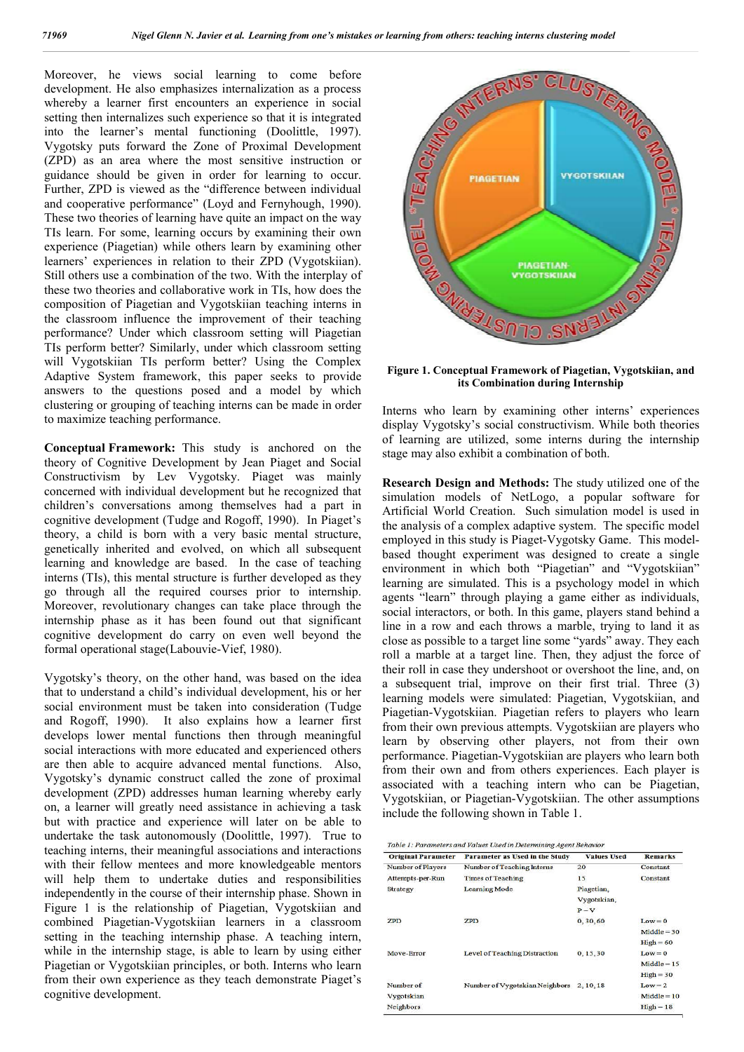Moreover, he views social learning to come before development. He also emphasizes internalization as a process whereby a learner first encounters an experience in social setting then internalizes such experience so that it is integrated into the learner's mental functioning (Doolittle, 1997). Vygotsky puts forward the Zone of Proximal Development (ZPD) as an area where the most sensitive instruction or guidance should be given in order for learning to occur. Further, ZPD is viewed as the "difference between individual and cooperative performance" (Loyd and Fernyhough, 1990). These two theories of learning have quite an impact on the way TIs learn. For some, learning occurs by examining their own experience (Piagetian) while others learn by examining other learners' experiences in relation to their ZPD (Vygotskiian). Still others use a combination of the two. With the interplay of these two theories and collaborative work in TIs, how does the composition of Piagetian and Vygotskiian teaching interns in the classroom influence the improvement of their teaching performance? Under which classroom setting will Piagetian TIs perform better? Similarly, under which classroom setting will Vygotskiian TIs perform better? Using the Complex Adaptive System framework, this paper seeks to provide answers to the questions posed and a model by which clustering or grouping of teaching interns can be made in order to maximize teaching performance.

**Conceptual Framework:** This study is anchored on the theory of Cognitive Development by Jean Piaget and Social Constructivism by Lev Vygotsky. Piaget was mainly concerned with individual development but he recognized that children's conversations among themselves had a part in cognitive development (Tudge and Rogoff, 1990). In Piaget's theory, a child is born with a very basic mental structure, genetically inherited and evolved, on which all subsequent learning and knowledge are based. In the case of teaching interns (TIs), this mental structure is further developed as they go through all the required courses prior to internship. Moreover, revolutionary changes can take place through the internship phase as it has been found out that significant cognitive development do carry on even well beyond the formal operational stage(Labouvie-Vief, 1980).

Vygotsky's theory, on the other hand, was based on the idea that to understand a child's individual development, his or her social environment must be taken into consideration (Tudge and Rogoff, 1990). It also explains how a learner first develops lower mental functions then through meaningful social interactions with more educated and experienced others are then able to acquire advanced mental functions. Also, Vygotsky's dynamic construct called the zone of proximal development (ZPD) addresses human learning whereby early on, a learner will greatly need assistance in achieving a task but with practice and experience will later on be able to undertake the task autonomously (Doolittle, 1997). True to teaching interns, their meaningful associations and interactions with their fellow mentees and more knowledgeable mentors will help them to undertake duties and responsibilities independently in the course of their internship phase. Shown in Figure 1 is the relationship of Piagetian, Vygotskiian and combined Piagetian-Vygotskiian learners in a classroom setting in the teaching internship phase. A teaching intern, while in the internship stage, is able to learn by using either Piagetian or Vygotskiian principles, or both. Interns who learn from their own experience as they teach demonstrate Piaget's cognitive development.



**Figure 1. Conceptual Framework of Piagetian, Vygotskiian, and its Combination during Internship**

Interns who learn by examining other interns' experiences display Vygotsky's social constructivism. While both theories of learning are utilized, some interns during the internship stage may also exhibit a combination of both.

**Research Design and Methods:** The study utilized one of the simulation models of NetLogo, a popular software for Artificial World Creation. Such simulation model is used in the analysis of a complex adaptive system. The specific model employed in this study is Piaget-Vygotsky Game. This modelbased thought experiment was designed to create a single environment in which both "Piagetian" and "Vygotskiian" learning are simulated. This is a psychology model in which agents "learn" through playing a game either as individuals, social interactors, or both. In this game, players stand behind a line in a row and each throws a marble, trying to land it as close as possible to a target line some "yards" away. They each roll a marble at a target line. Then, they adjust the force of their roll in case they undershoot or overshoot the line, and, on a subsequent trial, improve on their first trial. Three (3) learning models were simulated: Piagetian, Vygotskiian, and Piagetian-Vygotskiian. Piagetian refers to players who learn from their own previous attempts. Vygotskiian are players who learn by observing other players, not from their own performance. Piagetian-Vygotskiian are players who learn both from their own and from others experiences. Each player is associated with a teaching intern who can be Piagetian, Vygotskiian, or Piagetian-Vygotskiian. The other assumptions include the following shown in Table 1.

Table 1: Parameters and Values Used in Determining Agent Behavior

| <b>Original Parameter</b> | <b>Parameter as Used in the Study</b> | <b>Values Used</b> | <b>Remarks</b>     |
|---------------------------|---------------------------------------|--------------------|--------------------|
| Number of Players         | <b>Number of Teaching Interns</b>     | 20                 | Constant           |
| Attempts-per-Run          | <b>Times of Teaching</b>              | 15                 | <b>Constant</b>    |
| <b>Strategy</b>           | <b>Learning Mode</b>                  | Piagetian.         |                    |
|                           |                                       | Vygotskian,        |                    |
|                           |                                       | $P - V$            |                    |
| ZPD                       | <b>ZPD</b>                            | 0, 30, 60          | $Low = 0$          |
|                           |                                       |                    | $Middie = 30$      |
|                           |                                       |                    | $High = 60$        |
| Move-Error                | <b>Level of Teaching Distraction</b>  | 0, 15, 30          | $Low = 0$          |
|                           |                                       |                    | $Middle = 15$      |
|                           |                                       |                    | $High = 30$        |
| Number of                 | Number of Vygotskian Neighbors        | 2.10.18            | $Low = 2$          |
| Vygotskian                |                                       |                    | $Middle = 10$      |
| Neighbors                 |                                       |                    | $\text{High} = 18$ |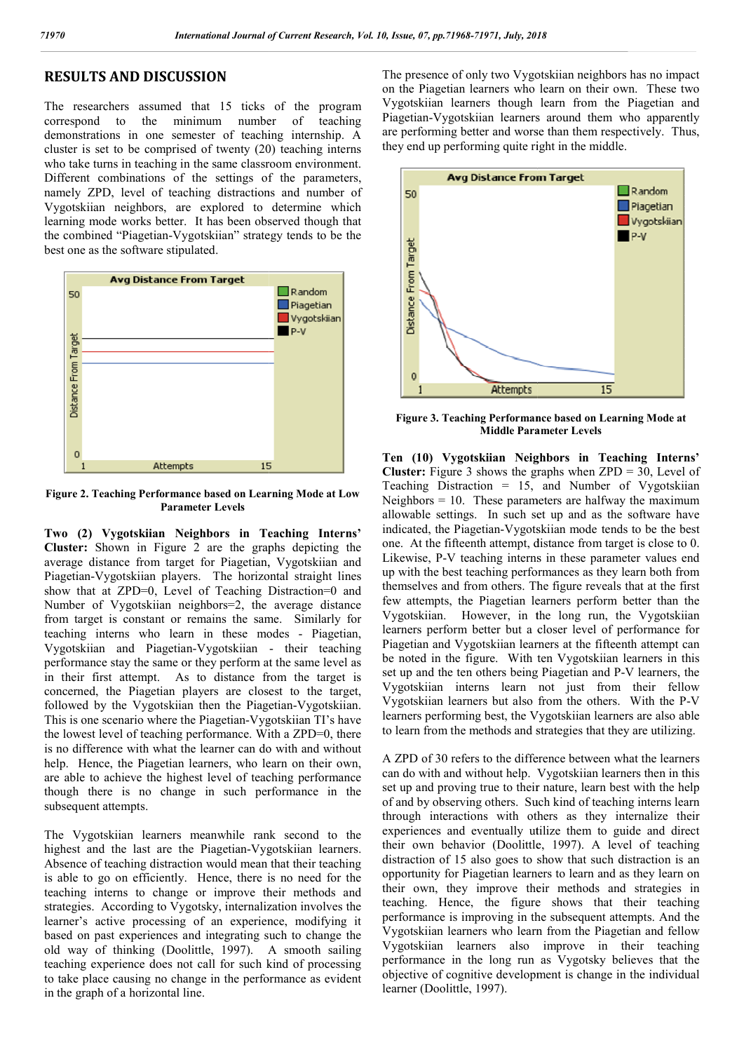#### **RESULTS AND DISCUSSION**

The researchers assumed that 15 ticks of the program correspond to the minimum number of teaching demonstrations in one semester of teaching internship. A cluster is set to be comprised of twenty (20) teaching interns who take turns in teaching in the same classroom environment. Different combinations of the settings of the parameters, namely ZPD, level of teaching distractions and number of Vygotskiian neighbors, are explored to determine which learning mode works better. It has been observed though that the combined "Piagetian-Vygotskiian" strategy tends to be the best one as the software stipulated.



**Figure 2. Teaching Performance based on Learning Mode at Low Parameter Levels**

**Two (2) Vygotskiian Neighbors in Teaching Interns' Cluster:** Shown in Figure 2 are the graphs depicting the average distance from target for Piagetian, Vygotskiian and Piagetian-Vygotskiian players. The horizontal straight lines show that at ZPD=0, Level of Teaching Distraction=0 and Number of Vygotskiian neighbors=2, the average distance from target is constant or remains the same. Similarly for teaching interns who learn in these modes - Piagetian, Vygotskiian and Piagetian-Vygotskiian Vygotskiian - their teaching performance stay the same or they perform at the same level as in their first attempt. As to distance from the target is concerned, the Piagetian players are closest to the target, followed by the Vygotskiian then the Piagetian-Vygotskiian. This is one scenario where the Piagetian-Vygotskiian TI's have the lowest level of teaching performance. With a ZPD=0, there is no difference with what the learner can do with and without help. Hence, the Piagetian learners, who learn on their own, are able to achieve the highest level of teaching performance though there is no change in such performance in the subsequent attempts.

The Vygotskiian learners meanwhile rank second to the highest and the last are the Piagetian-Vygotskiian learners. Absence of teaching distraction would mean that their teaching is able to go on efficiently. Hence, there is no need for the teaching interns to change or improve their methods and strategies. According to Vygotsky, internalization involves the learner's active processing of an experience, modifying it based on past experiences and integrating such to change the old way of thinking (Doolittle, 1997). A smooth sailing teaching experience does not call for such kind of processing to take place causing no change in the performance as evident in the graph of a horizontal line.

on the Piagetian learners who learn on their own. These two Vygotskiian learners though learn from the Piagetian and Piagetian-Vygotskiian learners around them who apparently are performing better and worse than them respectively. Thus, they end up performing quite right in the middle. e presence of only two Vygotskiian neighbors has no impact the Piagetian learners who learn on their own. These two gotskiian learners though learn from the Piagetian and getian-Vygotskiian learners around them who apparen



**Figure 3. Teaching Performance based on Learning Mode at Figure 3. LevelsMiddle Parameter Levels**

**UNICOUSSE (The transition of the three interests in the presence of only the presence of only two Vygotskiian icinens is only to the presence of only two Vygotskiis has no impact the presence of only two Vygotskiis has n Ten (10) Vygotskiian Neighbors in Teaching Interns' Cluster:** Figure 3 shows the graphs when  $ZPD = 30$ , Level of Teaching Distraction  $= 15$ , and Number of Vygotskiian Neighbors = 10. These parameters are halfway the maximum allowable settings. In such set up and as the software have indicated, the Piagetian-Vygotskiian mode tends to be the best one. At the fifteenth attempt, distance from target is close to 0. Likewise, P-V teaching interns in these parameter values end up with the best teaching performances as they learn both from themselves and from others. The figure reveals that at the f few attempts, the Piagetian learners perform better than the Vygotskiian. However, in the long run, the Vygotskiian learners perform better but a closer level of performance for Piagetian and Vygotskiian learners at the fifteenth attempt can be noted in the figure. With ten Vygotskiian learners in this set up and the ten others being Piagetian and P-V learners, the Vygotskiian interns learn not just from their fellow<br>Vygotskiian learners but also from the others. With the P-V Vygotskiian learners but also from the others. With the P learners performing best, the Vygotskiian learners are also able learners performing best, the Vygotskiian learners are also abl<br>to learn from the methods and strategies that they are utilizing. Distraction = 15, and Number of Vygotskiian = 10. These parameters are halfway the maximum settings. In such set up and as the software have the Piagetian-Vygotskiian mode tends to be the best one. At the fifteenth attempt, distance from target is close to 0.<br>Likewise, P-V teaching interns in these parameter values end<br>up with the best teaching performances as they learn both from<br>themselves and from others. The attempts, the Piagetian learners perform better than the otskiian. However, in the long run, the Vygotskiian ers perform better but a closer level of performance for estian and Vygotskiian learners at the fifteenth attempt 7, pp.71968-71971, *Jub*, 2018<br>
sience of only two Vygotskiian neighbors has no improved the conduct on the transmission learners lowed learners also the learners also improved them who apparent in the mixprovision learner

A ZPD of 30 refers to the difference between what the learners can do with and without help. Vygotskiian learners then in this set up and proving true to their nature, learn best with the help of and by observing others. Such kind of teaching interns learn through interactions with others as they internalize their experiences and eventually utilize them to guide and direct their own behavior (Doolittle, 1997). A level of teaching distraction of 15 also goes to show that such distraction is an opportunity for Piagetian learners to learn and as they learn on their own, they improve their methods and strategies in teaching. Hence, the figure shows that performance is improving in the subsequent attempts. And the Vygotskiian learners who learn from the Piagetian and fellow Vygotskiian learners also improve in their teaching performance in the long run as Vygotsky believes that the objective of cognitive development is change in the individual learner (Doolittle, 1997). A ZPD of 30 refers to the difference between what the learners can do with and without help. Vygotskiian learners then in this set up and proving true to their nature, learn best with the help of and by observing others. S